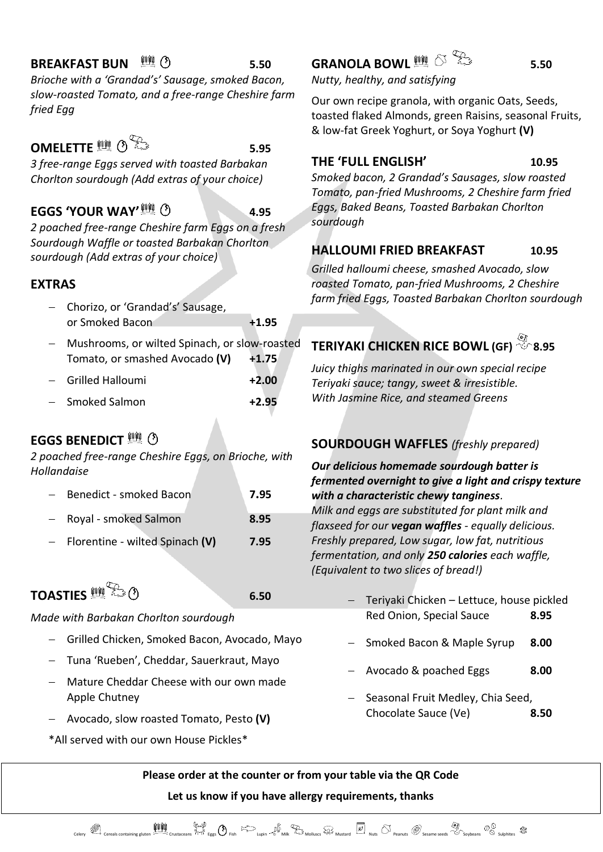#### **BREAKFAST BUN <b>Example 25** 5.50

*Brioche with a 'Grandad's' Sausage, smoked Bacon, slow-roasted Tomato, and a free-range Cheshire farm fried Egg*

### **OMELETTE <b>11**  $\circ$   $\mathbb{R}^3$

*3 free-range Eggs served with toasted Barbakan Chorlton sourdough (Add extras of your choice)*

#### **EGGS 'YOUR WAY' 4.95**

*2 poached free-range Cheshire farm Eggs on a fresh Sourdough Waffle or toasted Barbakan Chorlton sourdough (Add extras of your choice)*

#### **EXTRAS**

- − Chorizo, or 'Grandad's' Sausage, or Smoked Bacon **+1.95**
- − Mushrooms, or wilted Spinach, or slow-roasted Tomato, or smashed Avocado **(V) +1.75**
- − Grilled Halloumi **+2.00** − Smoked Salmon **+2.95**

## **EGGS BENEDICT**<sup>11</sup> **(1)**

*2 poached free-range Cheshire Eggs, on Brioche, with Hollandaise*

| Benedict - smoked Bacon             | 7.95 |
|-------------------------------------|------|
| Royal - smoked Salmon               | 8.95 |
| $-$ Florentine - wilted Spinach (V) | 7.95 |

# **TOASTIES** *finally*  $\bigcirc$  **6.50**

#### *Made with Barbakan Chorlton sourdough*

- − Grilled Chicken, Smoked Bacon, Avocado, Mayo
- − Tuna 'Rueben', Cheddar, Sauerkraut, Mayo
- − Mature Cheddar Cheese with our own made Apple Chutney
- − Avocado, slow roasted Tomato, Pesto **(V)**
- \*All served with our own House Pickles\*

# **GRANOLA BOWL 5.50**

*Nutty, healthy, and satisfying* 

Our own recipe granola, with organic Oats, Seeds, toasted flaked Almonds, green Raisins, seasonal Fruits, & low-fat Greek Yoghurt, or Soya Yoghurt **(V)**

#### **THE 'FULL ENGLISH' 10.95**

*Smoked bacon, 2 Grandad's Sausages, slow roasted Tomato, pan-fried Mushrooms, 2 Cheshire farm fried Eggs, Baked Beans, Toasted Barbakan Chorlton sourdough*

#### **HALLOUMI FRIED BREAKFAST 10.95**

*Grilled halloumi cheese, smashed Avocado, slow roasted Tomato, pan-fried Mushrooms, 2 Cheshire farm fried Eggs, Toasted Barbakan Chorlton sourdough*

## **TERIYAKI CHICKEN RICE BOWL (GF) 8.95**

*Juicy thighs marinated in our own special recipe Teriyaki sauce; tangy, sweet & irresistible. With Jasmine Rice, and steamed Greens*

#### **SOURDOUGH WAFFLES** *(freshly prepared)*

#### *Our delicious homemade sourdough batter is fermented overnight to give a light and crispy texture with a characteristic chewy tanginess.*

*Milk and eggs are substituted for plant milk and flaxseed for our vegan waffles - equally delicious. Freshly prepared, Low sugar, low fat, nutritious fermentation, and only 250 calories each waffle, (Equivalent to two slices of bread!)* 

- − Teriyaki Chicken Lettuce, house pickled Red Onion, Special Sauce **8.95**
- − Smoked Bacon & Maple Syrup **8.00**
- − Avocado & poached Eggs **8.00**
- − Seasonal Fruit Medley, Chia Seed, Chocolate Sauce (Ve) **8.50**

**Please order at the counter or from your table via the QR Code Let us know if you have allergy requirements, thanks**

Celery Corrests containing gluten Crustaceans Tric Eggs O Fish Lupin Computer Correst Mustard  $\boxed{Z}$  Nuts O Peanuts Sesame seeds Schonhes Sulphites Sulphites Sulphites Sesame seeds Schonhes Sulphites States and Sulphites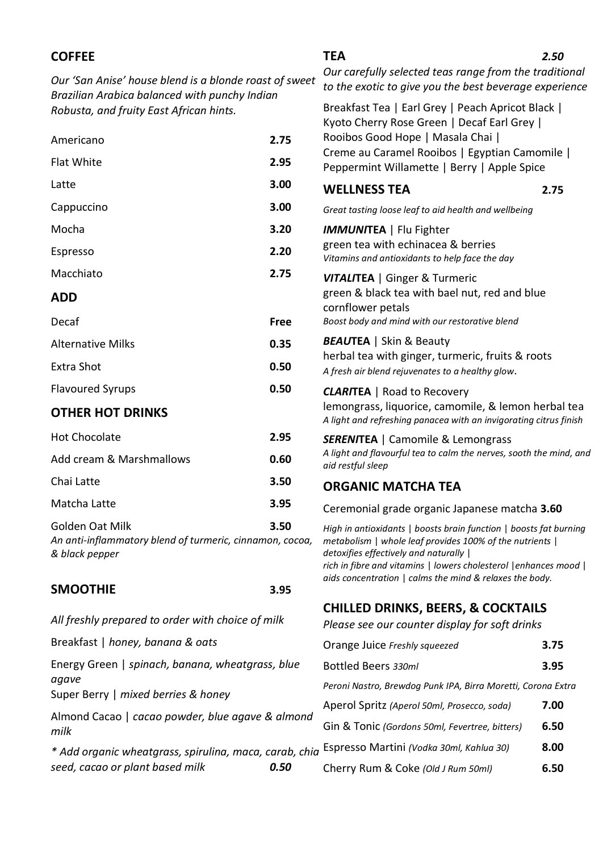| <b>COFFEE</b>                                                                                           |             | <b>TEA</b>                                                                                                                                                                                                                                 | 2.50 |  |
|---------------------------------------------------------------------------------------------------------|-------------|--------------------------------------------------------------------------------------------------------------------------------------------------------------------------------------------------------------------------------------------|------|--|
| Our 'San Anise' house blend is a blonde roast of sweet<br>Brazilian Arabica balanced with punchy Indian |             | Our carefully selected teas range from the traditional<br>to the exotic to give you the best beverage experience                                                                                                                           |      |  |
| Robusta, and fruity East African hints.                                                                 |             | Breakfast Tea   Earl Grey   Peach Apricot Black  <br>Kyoto Cherry Rose Green   Decaf Earl Grey                                                                                                                                             |      |  |
| 2.75<br>Americano                                                                                       |             | Rooibos Good Hope   Masala Chai  <br>Creme au Caramel Rooibos   Egyptian Camomile  <br>Peppermint Willamette   Berry   Apple Spice                                                                                                         |      |  |
| <b>Flat White</b><br>2.95                                                                               |             |                                                                                                                                                                                                                                            |      |  |
| Latte                                                                                                   | 3.00        | <b>WELLNESS TEA</b>                                                                                                                                                                                                                        | 2.75 |  |
| Cappuccino                                                                                              | 3.00        | Great tasting loose leaf to aid health and wellbeing                                                                                                                                                                                       |      |  |
| Mocha                                                                                                   | 3.20        | <b>IMMUNITEA</b>   Flu Fighter<br>green tea with echinacea & berries<br>Vitamins and antioxidants to help face the day                                                                                                                     |      |  |
| Espresso                                                                                                | 2.20        |                                                                                                                                                                                                                                            |      |  |
| Macchiato                                                                                               | 2.75        | <b>VITALITEA</b>   Ginger & Turmeric<br>green & black tea with bael nut, red and blue<br>cornflower petals<br>Boost body and mind with our restorative blend                                                                               |      |  |
| <b>ADD</b>                                                                                              |             |                                                                                                                                                                                                                                            |      |  |
| Decaf                                                                                                   | <b>Free</b> |                                                                                                                                                                                                                                            |      |  |
| <b>Alternative Milks</b>                                                                                | 0.35        | <b>BEAUTEA</b>   Skin & Beauty<br>herbal tea with ginger, turmeric, fruits & roots<br>A fresh air blend rejuvenates to a healthy glow.                                                                                                     |      |  |
| <b>Extra Shot</b>                                                                                       | 0.50        |                                                                                                                                                                                                                                            |      |  |
| 0.50<br><b>Flavoured Syrups</b>                                                                         |             | <b>CLARITEA</b>   Road to Recovery                                                                                                                                                                                                         |      |  |
| <b>OTHER HOT DRINKS</b>                                                                                 |             | lemongrass, liquorice, camomile, & lemon herbal tea<br>A light and refreshing panacea with an invigorating citrus finish                                                                                                                   |      |  |
| <b>Hot Chocolate</b>                                                                                    | 2.95        | <b>SERENITEA</b>   Camomile & Lemongrass                                                                                                                                                                                                   |      |  |
| Add cream & Marshmallows<br>0.60                                                                        |             | A light and flavourful tea to calm the nerves, sooth the mind, and<br>aid restful sleep                                                                                                                                                    |      |  |
| Chai Latte                                                                                              | 3.50        | <b>ORGANIC MATCHA TEA</b>                                                                                                                                                                                                                  |      |  |
| Matcha Latte                                                                                            | 3.95        | Ceremonial grade organic Japanese matcha 3.60                                                                                                                                                                                              |      |  |
| Golden Oat Milk<br>An anti-inflammatory blend of turmeric, cinnamon, cocoa,<br>& black pepper           | 3.50        | High in antioxidants   boosts brain function   boosts fat burning<br>metabolism   whole leaf provides 100% of the nutrients  <br>detoxifies effectively and naturally  <br>rich in fibre and vitamins   lowers cholesterol   enhances mood |      |  |
| <b>SMOOTHIE</b><br>3.95                                                                                 |             | aids concentration   calms the mind & relaxes the body.                                                                                                                                                                                    |      |  |
| All freshly prepared to order with choice of milk                                                       |             | <b>CHILLED DRINKS, BEERS, &amp; COCKTAILS</b><br>Please see our counter display for soft drinks                                                                                                                                            |      |  |
| Breakfast   honey, banana & oats                                                                        |             | Orange Juice Freshly squeezed                                                                                                                                                                                                              | 3.75 |  |
| Energy Green   spinach, banana, wheatgrass, blue                                                        |             | Bottled Beers 330ml                                                                                                                                                                                                                        | 3.95 |  |
| agave<br>Super Berry   mixed berries & honey                                                            |             | Peroni Nastro, Brewdog Punk IPA, Birra Moretti, Corona Extra                                                                                                                                                                               |      |  |
| Almond Cacao   cacao powder, blue agave & almond                                                        |             | Aperol Spritz (Aperol 50ml, Prosecco, soda)                                                                                                                                                                                                | 7.00 |  |
| milk                                                                                                    |             | Gin & Tonic (Gordons 50ml, Fevertree, bitters)                                                                                                                                                                                             | 6.50 |  |

*\* Add organic wheatgrass, spirulina, maca, carab, chia*  Espresso Martini *(Vodka 30ml, Kahlua 30)* **8.00** *seed, cacao or plant based milk 0.50*

Cherry Rum & Coke *(Old J Rum 50ml)* **6.50**